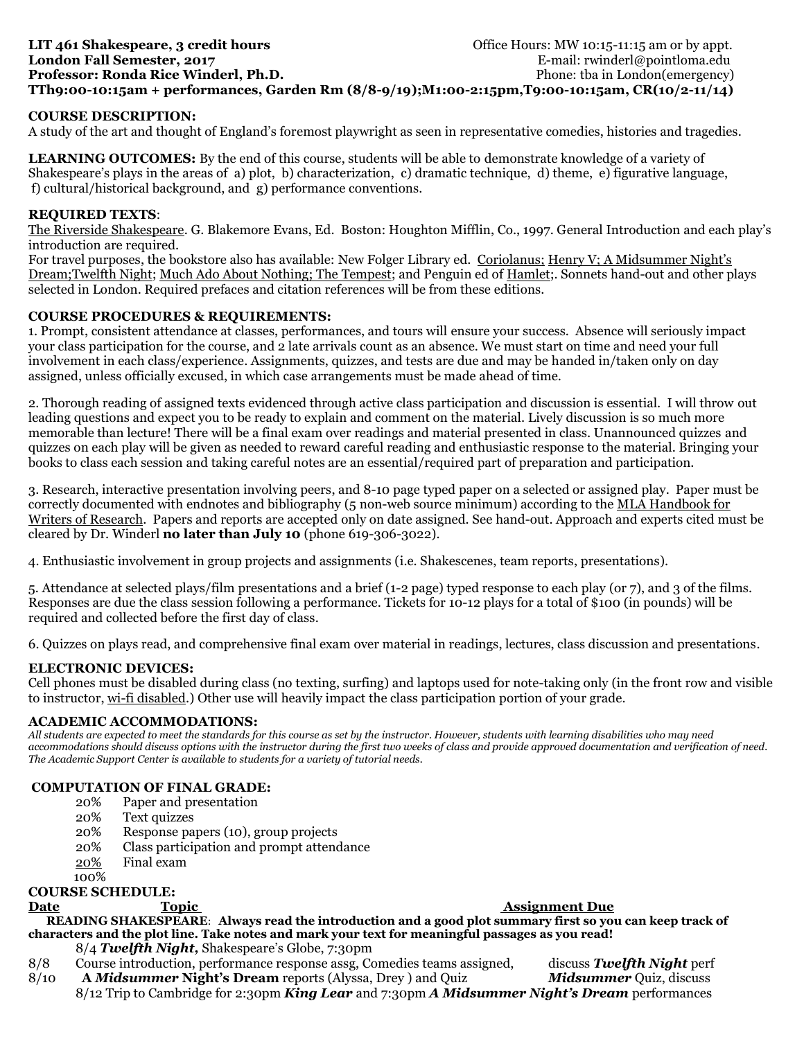# **LIT 461 Shakespeare, 3 credit hours Community 10:15-11:15 am or by appt. Office Hours: MW 10:15-11:15 am or by appt. London Fall Semester, 2017 E-mail: rwinderl@pointloma.edu Professor: Ronda Rice Winderl, Ph.D.** Phone: that in London(emergency) **TTh9:00-10:15am + performances, Garden Rm (8/8-9/19);M1:00-2:15pm,T9:00-10:15am, CR(10/2-11/14)**

## **COURSE DESCRIPTION:**

A study of the art and thought of England's foremost playwright as seen in representative comedies, histories and tragedies.

**LEARNING OUTCOMES:** By the end of this course, students will be able to demonstrate knowledge of a variety of Shakespeare's plays in the areas of a) plot, b) characterization, c) dramatic technique, d) theme, e) figurative language, f) cultural/historical background, and g) performance conventions.

## **REQUIRED TEXTS**:

The Riverside Shakespeare. G. Blakemore Evans, Ed. Boston: Houghton Mifflin, Co., 1997. General Introduction and each play's introduction are required.

For travel purposes, the bookstore also has available: New Folger Library ed. Coriolanus; Henry V; A Midsummer Night's Dream;Twelfth Night; Much Ado About Nothing; The Tempest; and Penguin ed of Hamlet;. Sonnets hand-out and other plays selected in London. Required prefaces and citation references will be from these editions.

### **COURSE PROCEDURES & REQUIREMENTS:**

1. Prompt, consistent attendance at classes, performances, and tours will ensure your success. Absence will seriously impact your class participation for the course, and 2 late arrivals count as an absence. We must start on time and need your full involvement in each class/experience. Assignments, quizzes, and tests are due and may be handed in/taken only on day assigned, unless officially excused, in which case arrangements must be made ahead of time.

2. Thorough reading of assigned texts evidenced through active class participation and discussion is essential. I will throw out leading questions and expect you to be ready to explain and comment on the material. Lively discussion is so much more memorable than lecture! There will be a final exam over readings and material presented in class. Unannounced quizzes and quizzes on each play will be given as needed to reward careful reading and enthusiastic response to the material. Bringing your books to class each session and taking careful notes are an essential/required part of preparation and participation.

3. Research, interactive presentation involving peers, and 8-10 page typed paper on a selected or assigned play. Paper must be correctly documented with endnotes and bibliography (5 non-web source minimum) according to the MLA Handbook for Writers of Research. Papers and reports are accepted only on date assigned. See hand-out. Approach and experts cited must be cleared by Dr. Winderl **no later than July 10** (phone 619-306-3022).

4. Enthusiastic involvement in group projects and assignments (i.e. Shakescenes, team reports, presentations).

5. Attendance at selected plays/film presentations and a brief (1-2 page) typed response to each play (or 7), and 3 of the films. Responses are due the class session following a performance. Tickets for 10-12 plays for a total of \$100 (in pounds) will be required and collected before the first day of class.

6. Quizzes on plays read, and comprehensive final exam over material in readings, lectures, class discussion and presentations.

### **ELECTRONIC DEVICES:**

Cell phones must be disabled during class (no texting, surfing) and laptops used for note-taking only (in the front row and visible to instructor, wi-fi disabled.) Other use will heavily impact the class participation portion of your grade.

# **ACADEMIC ACCOMMODATIONS:**

*All students are expected to meet the standards for this course as set by the instructor. However, students with learning disabilities who may need accommodations should discuss options with the instructor during the first two weeks of class and provide approved documentation and verification of need. The Academic Support Center is available to students for a variety of tutorial needs.*

### **COMPUTATION OF FINAL GRADE:**

- 20% Paper and presentation
- 20% Text quizzes
- 20% Response papers (10), group projects
- 20% Class participation and prompt attendance
- 20% Final exam
	- 100%

# **COURSE SCHEDULE:**

## **Date** Topic **The Community Community Community** Constants and Assignment Due

 **READING SHAKESPEARE**: **Always read the introduction and a good plot summary first so you can keep track of characters and the plot line. Take notes and mark your text for meaningful passages as you read!**

- 8/4 *Twelfth Night,* Shakespeare's Globe, 7:30pm
- 8/8 Course introduction, performance response assg, Comedies teams assigned, discuss *Twelfth Night* perf
- 8/10 **A** *Midsummer* **Night's Dream** reports (Alyssa, Drey ) and Quiz *Midsummer* Quiz, discuss 8/12 Trip to Cambridge for 2:30pm *King Lear* and 7:30pm *A Midsummer Night's Dream* performances